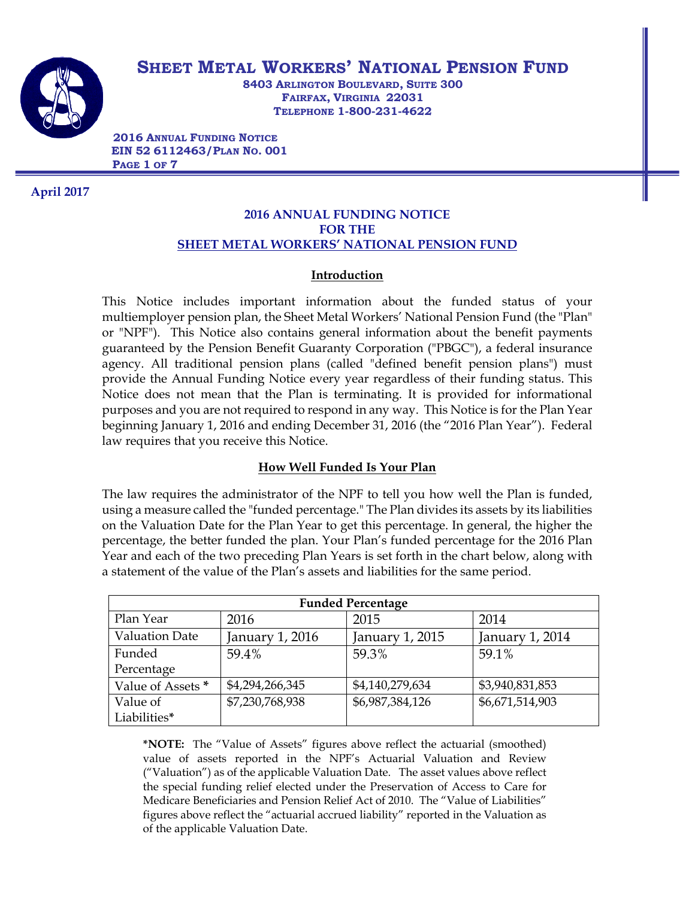

# **SHEET METAL WORKERS' NATIONAL PENSION FUND**

**8403 ARLINGTON BOULEVARD, SUITE 300 FAIRFAX, VIRGINIA 22031 TELEPHONE 1-800-231-4622** 

**2016 ANNUAL FUNDING NOTICE EIN 52 6112463/PLAN NO. 001 PAGE 1 OF 7** 

**April 2017**

## **2016 ANNUAL FUNDING NOTICE FOR THE SHEET METAL WORKERS' NATIONAL PENSION FUND**

## **Introduction**

This Notice includes important information about the funded status of your multiemployer pension plan, the Sheet Metal Workers' National Pension Fund (the "Plan" or "NPF"). This Notice also contains general information about the benefit payments guaranteed by the Pension Benefit Guaranty Corporation ("PBGC"), a federal insurance agency. All traditional pension plans (called "defined benefit pension plans") must provide the Annual Funding Notice every year regardless of their funding status. This Notice does not mean that the Plan is terminating. It is provided for informational purposes and you are not required to respond in any way. This Notice is for the Plan Year beginning January 1, 2016 and ending December 31, 2016 (the "2016 Plan Year"). Federal law requires that you receive this Notice.

# **How Well Funded Is Your Plan**

The law requires the administrator of the NPF to tell you how well the Plan is funded, using a measure called the "funded percentage." The Plan divides its assets by its liabilities on the Valuation Date for the Plan Year to get this percentage. In general, the higher the percentage, the better funded the plan. Your Plan's funded percentage for the 2016 Plan Year and each of the two preceding Plan Years is set forth in the chart below, along with a statement of the value of the Plan's assets and liabilities for the same period.

| <b>Funded Percentage</b> |                 |                 |                 |  |
|--------------------------|-----------------|-----------------|-----------------|--|
| Plan Year                | 2016            | 2015            | 2014            |  |
| <b>Valuation Date</b>    | January 1, 2016 | January 1, 2015 | January 1, 2014 |  |
| Funded                   | 59.4%           | 59.3%           | 59.1%           |  |
| Percentage               |                 |                 |                 |  |
| Value of Assets *        | \$4,294,266,345 | \$4,140,279,634 | \$3,940,831,853 |  |
| Value of                 | \$7,230,768,938 | \$6,987,384,126 | \$6,671,514,903 |  |
| Liabilities*             |                 |                 |                 |  |

**\*NOTE:** The "Value of Assets" figures above reflect the actuarial (smoothed) value of assets reported in the NPF's Actuarial Valuation and Review ("Valuation") as of the applicable Valuation Date. The asset values above reflect the special funding relief elected under the Preservation of Access to Care for Medicare Beneficiaries and Pension Relief Act of 2010. The "Value of Liabilities" figures above reflect the "actuarial accrued liability" reported in the Valuation as of the applicable Valuation Date.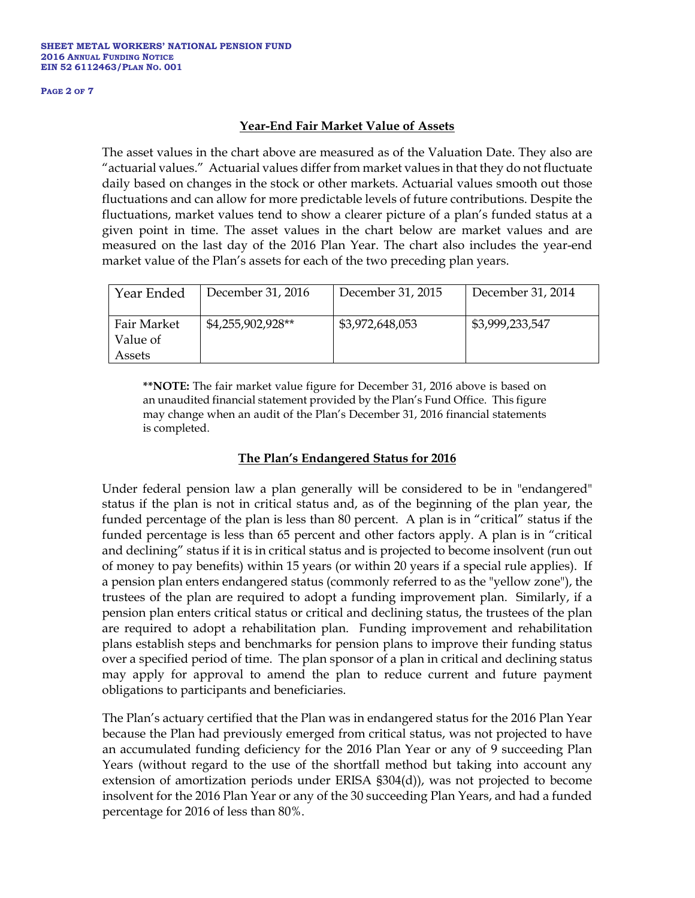#### **PAGE 2 OF 7**

### **Year-End Fair Market Value of Assets**

The asset values in the chart above are measured as of the Valuation Date. They also are "actuarial values." Actuarial values differ from market values in that they do not fluctuate daily based on changes in the stock or other markets. Actuarial values smooth out those fluctuations and can allow for more predictable levels of future contributions. Despite the fluctuations, market values tend to show a clearer picture of a plan's funded status at a given point in time. The asset values in the chart below are market values and are measured on the last day of the 2016 Plan Year. The chart also includes the year-end market value of the Plan's assets for each of the two preceding plan years.

| Year Ended                        | December 31, 2016 | December 31, 2015 | December 31, 2014 |
|-----------------------------------|-------------------|-------------------|-------------------|
| Fair Market<br>Value of<br>Assets | \$4,255,902,928** | \$3,972,648,053   | \$3,999,233,547   |

**\*\*NOTE:** The fair market value figure for December 31, 2016 above is based on an unaudited financial statement provided by the Plan's Fund Office. This figure may change when an audit of the Plan's December 31, 2016 financial statements is completed.

## **The Plan's Endangered Status for 2016**

Under federal pension law a plan generally will be considered to be in "endangered" status if the plan is not in critical status and, as of the beginning of the plan year, the funded percentage of the plan is less than 80 percent. A plan is in "critical" status if the funded percentage is less than 65 percent and other factors apply. A plan is in "critical and declining" status if it is in critical status and is projected to become insolvent (run out of money to pay benefits) within 15 years (or within 20 years if a special rule applies). If a pension plan enters endangered status (commonly referred to as the "yellow zone"), the trustees of the plan are required to adopt a funding improvement plan. Similarly, if a pension plan enters critical status or critical and declining status, the trustees of the plan are required to adopt a rehabilitation plan. Funding improvement and rehabilitation plans establish steps and benchmarks for pension plans to improve their funding status over a specified period of time. The plan sponsor of a plan in critical and declining status may apply for approval to amend the plan to reduce current and future payment obligations to participants and beneficiaries.

The Plan's actuary certified that the Plan was in endangered status for the 2016 Plan Year because the Plan had previously emerged from critical status, was not projected to have an accumulated funding deficiency for the 2016 Plan Year or any of 9 succeeding Plan Years (without regard to the use of the shortfall method but taking into account any extension of amortization periods under ERISA §304(d)), was not projected to become insolvent for the 2016 Plan Year or any of the 30 succeeding Plan Years, and had a funded percentage for 2016 of less than 80%.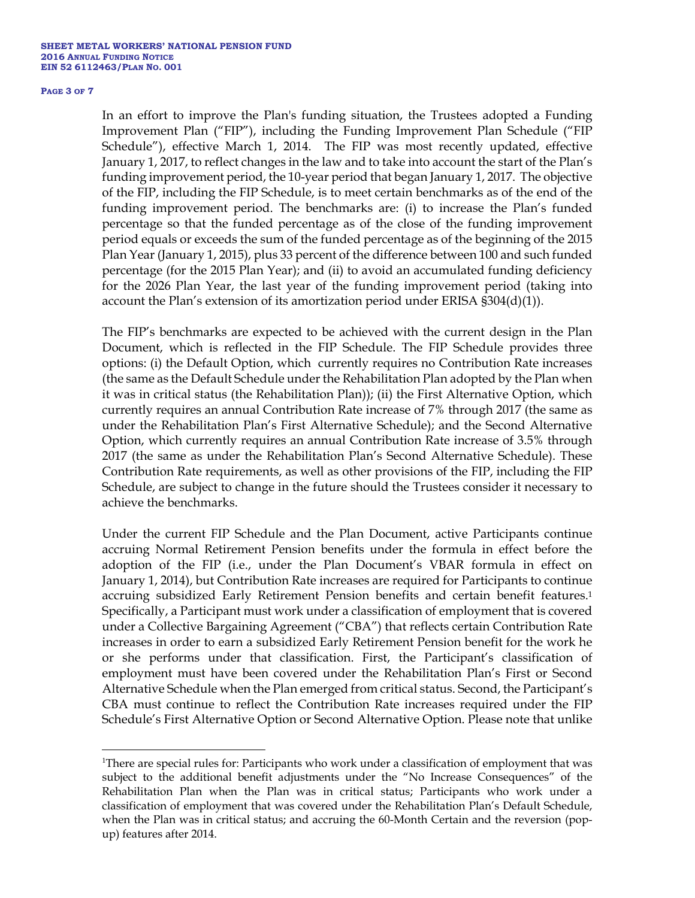#### **PAGE 3 OF 7**

 $\overline{a}$ 

In an effort to improve the Plan's funding situation, the Trustees adopted a Funding Improvement Plan ("FIP"), including the Funding Improvement Plan Schedule ("FIP Schedule"), effective March 1, 2014. The FIP was most recently updated, effective January 1, 2017, to reflect changes in the law and to take into account the start of the Plan's funding improvement period, the 10-year period that began January 1, 2017. The objective of the FIP, including the FIP Schedule, is to meet certain benchmarks as of the end of the funding improvement period. The benchmarks are: (i) to increase the Plan's funded percentage so that the funded percentage as of the close of the funding improvement period equals or exceeds the sum of the funded percentage as of the beginning of the 2015 Plan Year (January 1, 2015), plus 33 percent of the difference between 100 and such funded percentage (for the 2015 Plan Year); and (ii) to avoid an accumulated funding deficiency for the 2026 Plan Year, the last year of the funding improvement period (taking into account the Plan's extension of its amortization period under ERISA §304(d)(1)).

The FIP's benchmarks are expected to be achieved with the current design in the Plan Document, which is reflected in the FIP Schedule. The FIP Schedule provides three options: (i) the Default Option, which currently requires no Contribution Rate increases (the same as the Default Schedule under the Rehabilitation Plan adopted by the Plan when it was in critical status (the Rehabilitation Plan)); (ii) the First Alternative Option, which currently requires an annual Contribution Rate increase of 7% through 2017 (the same as under the Rehabilitation Plan's First Alternative Schedule); and the Second Alternative Option, which currently requires an annual Contribution Rate increase of 3.5% through 2017 (the same as under the Rehabilitation Plan's Second Alternative Schedule). These Contribution Rate requirements, as well as other provisions of the FIP, including the FIP Schedule, are subject to change in the future should the Trustees consider it necessary to achieve the benchmarks.

Under the current FIP Schedule and the Plan Document, active Participants continue accruing Normal Retirement Pension benefits under the formula in effect before the adoption of the FIP (i.e., under the Plan Document's VBAR formula in effect on January 1, 2014), but Contribution Rate increases are required for Participants to continue accruing subsidized Early Retirement Pension benefits and certain benefit features.1 Specifically, a Participant must work under a classification of employment that is covered under a Collective Bargaining Agreement ("CBA") that reflects certain Contribution Rate increases in order to earn a subsidized Early Retirement Pension benefit for the work he or she performs under that classification. First, the Participant's classification of employment must have been covered under the Rehabilitation Plan's First or Second Alternative Schedule when the Plan emerged from critical status. Second, the Participant's CBA must continue to reflect the Contribution Rate increases required under the FIP Schedule's First Alternative Option or Second Alternative Option. Please note that unlike

<sup>&</sup>lt;sup>1</sup>There are special rules for: Participants who work under a classification of employment that was subject to the additional benefit adjustments under the "No Increase Consequences" of the Rehabilitation Plan when the Plan was in critical status; Participants who work under a classification of employment that was covered under the Rehabilitation Plan's Default Schedule, when the Plan was in critical status; and accruing the 60-Month Certain and the reversion (popup) features after 2014.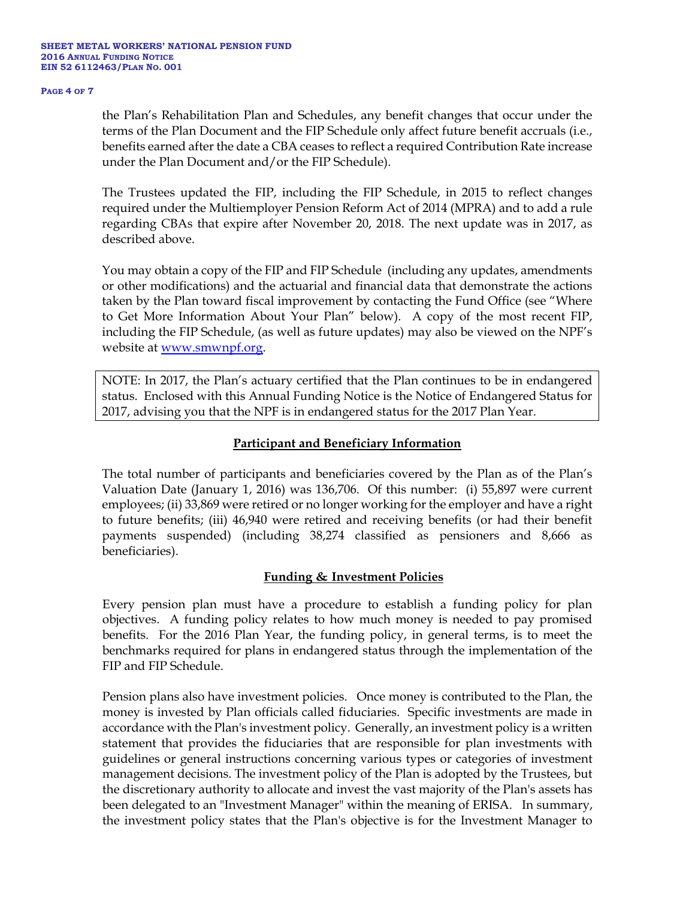#### **PAGE 4 OF 7**

the Plan's Rehabilitation Plan and Schedules, any benefit changes that occur under the terms of the Plan Document and the FIP Schedule only affect future benefit accruals (i.e., benefits earned after the date a CBA ceases to reflect a required Contribution Rate increase under the Plan Document and/or the FIP Schedule).

The Trustees updated the FIP, including the FIP Schedule, in 2015 to reflect changes required under the Multiemployer Pension Reform Act of 2014 (MPRA) and to add a rule regarding CBAs that expire after November 20, 2018. The next update was in 2017, as described above.

You may obtain a copy of the FIP and FIP Schedule (including any updates, amendments or other modifications) and the actuarial and financial data that demonstrate the actions taken by the Plan toward fiscal improvement by contacting the Fund Office (see "Where to Get More Information About Your Plan" below). A copy of the most recent FIP, including the FIP Schedule, (as well as future updates) may also be viewed on the NPF's website at www.smwnpf.org.

NOTE: In 2017, the Plan's actuary certified that the Plan continues to be in endangered status. Enclosed with this Annual Funding Notice is the Notice of Endangered Status for 2017, advising you that the NPF is in endangered status for the 2017 Plan Year.

# **Participant and Beneficiary Information**

The total number of participants and beneficiaries covered by the Plan as of the Plan's Valuation Date (January 1, 2016) was 136,706. Of this number: (i) 55,897 were current employees; (ii) 33,869 were retired or no longer working for the employer and have a right to future benefits; (iii) 46,940 were retired and receiving benefits (or had their benefit payments suspended) (including 38,274 classified as pensioners and 8,666 as beneficiaries).

## **Funding & Investment Policies**

Every pension plan must have a procedure to establish a funding policy for plan objectives. A funding policy relates to how much money is needed to pay promised benefits. For the 2016 Plan Year, the funding policy, in general terms, is to meet the benchmarks required for plans in endangered status through the implementation of the FIP and FIP Schedule.

Pension plans also have investment policies. Once money is contributed to the Plan, the money is invested by Plan officials called fiduciaries. Specific investments are made in accordance with the Plan's investment policy. Generally, an investment policy is a written statement that provides the fiduciaries that are responsible for plan investments with guidelines or general instructions concerning various types or categories of investment management decisions. The investment policy of the Plan is adopted by the Trustees, but the discretionary authority to allocate and invest the vast majority of the Plan's assets has been delegated to an "Investment Manager" within the meaning of ERISA. In summary, the investment policy states that the Plan's objective is for the Investment Manager to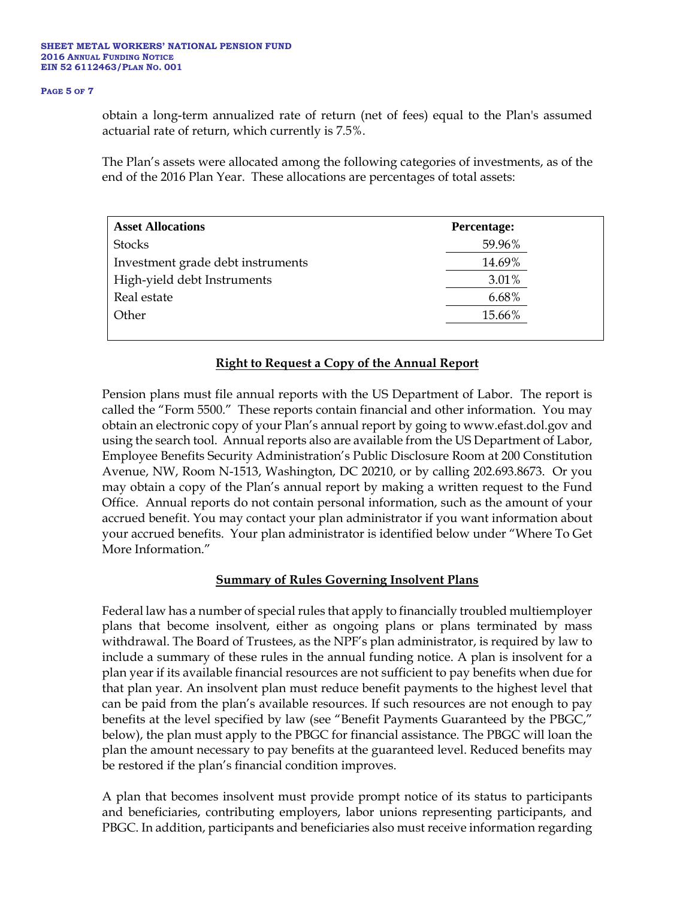#### **PAGE 5 OF 7**

obtain a long-term annualized rate of return (net of fees) equal to the Plan's assumed actuarial rate of return, which currently is 7.5%.

The Plan's assets were allocated among the following categories of investments, as of the end of the 2016 Plan Year. These allocations are percentages of total assets:

| <b>Asset Allocations</b>          | Percentage: |  |
|-----------------------------------|-------------|--|
| <b>Stocks</b>                     | 59.96%      |  |
| Investment grade debt instruments | 14.69%      |  |
| High-yield debt Instruments       | 3.01%       |  |
| Real estate                       | 6.68%       |  |
| Other                             | 15.66%      |  |
|                                   |             |  |

## **Right to Request a Copy of the Annual Report**

Pension plans must file annual reports with the US Department of Labor. The report is called the "Form 5500." These reports contain financial and other information. You may obtain an electronic copy of your Plan's annual report by going to www.efast.dol.gov and using the search tool. Annual reports also are available from the US Department of Labor, Employee Benefits Security Administration's Public Disclosure Room at 200 Constitution Avenue, NW, Room N-1513, Washington, DC 20210, or by calling 202.693.8673. Or you may obtain a copy of the Plan's annual report by making a written request to the Fund Office. Annual reports do not contain personal information, such as the amount of your accrued benefit. You may contact your plan administrator if you want information about your accrued benefits. Your plan administrator is identified below under "Where To Get More Information."

## **Summary of Rules Governing Insolvent Plans**

Federal law has a number of special rules that apply to financially troubled multiemployer plans that become insolvent, either as ongoing plans or plans terminated by mass withdrawal. The Board of Trustees, as the NPF's plan administrator, is required by law to include a summary of these rules in the annual funding notice. A plan is insolvent for a plan year if its available financial resources are not sufficient to pay benefits when due for that plan year. An insolvent plan must reduce benefit payments to the highest level that can be paid from the plan's available resources. If such resources are not enough to pay benefits at the level specified by law (see "Benefit Payments Guaranteed by the PBGC," below), the plan must apply to the PBGC for financial assistance. The PBGC will loan the plan the amount necessary to pay benefits at the guaranteed level. Reduced benefits may be restored if the plan's financial condition improves.

A plan that becomes insolvent must provide prompt notice of its status to participants and beneficiaries, contributing employers, labor unions representing participants, and PBGC. In addition, participants and beneficiaries also must receive information regarding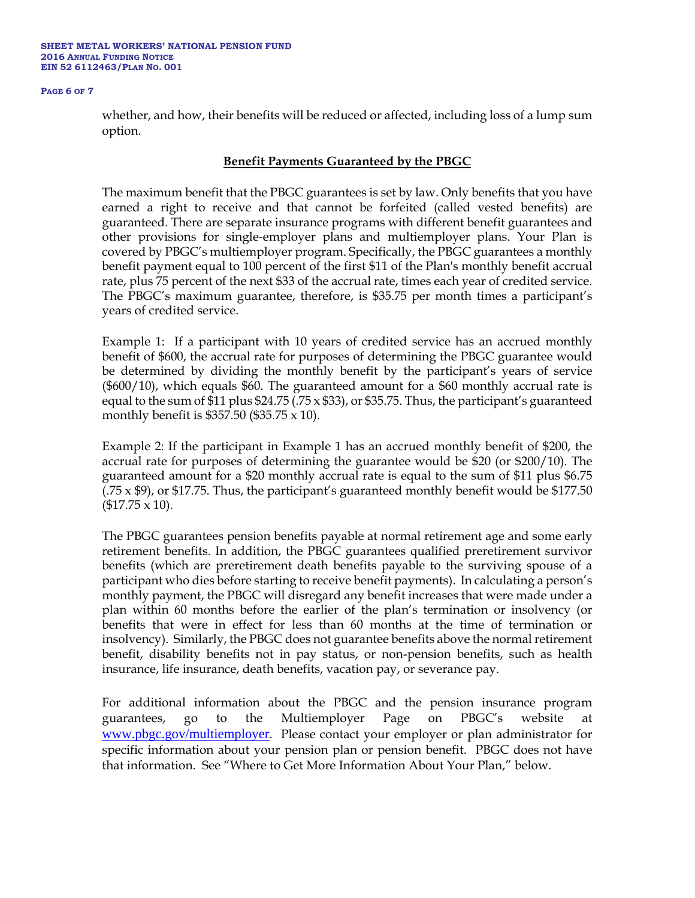#### **SHEET METAL WORKERS' NATIONAL PENSION FUND 2016 ANNUAL FUNDING NOTICE EIN 52 6112463/PLAN NO. 001**

#### **PAGE 6 OF 7**

whether, and how, their benefits will be reduced or affected, including loss of a lump sum option.

### **Benefit Payments Guaranteed by the PBGC**

The maximum benefit that the PBGC guarantees is set by law. Only benefits that you have earned a right to receive and that cannot be forfeited (called vested benefits) are guaranteed. There are separate insurance programs with different benefit guarantees and other provisions for single-employer plans and multiemployer plans. Your Plan is covered by PBGC's multiemployer program. Specifically, the PBGC guarantees a monthly benefit payment equal to 100 percent of the first \$11 of the Plan's monthly benefit accrual rate, plus 75 percent of the next \$33 of the accrual rate, times each year of credited service. The PBGC's maximum guarantee, therefore, is \$35.75 per month times a participant's years of credited service.

Example 1: If a participant with 10 years of credited service has an accrued monthly benefit of \$600, the accrual rate for purposes of determining the PBGC guarantee would be determined by dividing the monthly benefit by the participant's years of service (\$600/10), which equals \$60. The guaranteed amount for a \$60 monthly accrual rate is equal to the sum of \$11 plus \$24.75 (.75  $\times$  \$33), or \$35.75. Thus, the participant's guaranteed monthly benefit is \$357.50 (\$35.75 x 10).

Example 2: If the participant in Example 1 has an accrued monthly benefit of \$200, the accrual rate for purposes of determining the guarantee would be \$20 (or \$200/10). The guaranteed amount for a \$20 monthly accrual rate is equal to the sum of \$11 plus \$6.75  $(.75 \times$  \$9), or \$17.75. Thus, the participant's guaranteed monthly benefit would be \$177.50  $($17.75 \times 10).$ 

The PBGC guarantees pension benefits payable at normal retirement age and some early retirement benefits. In addition, the PBGC guarantees qualified preretirement survivor benefits (which are preretirement death benefits payable to the surviving spouse of a participant who dies before starting to receive benefit payments). In calculating a person's monthly payment, the PBGC will disregard any benefit increases that were made under a plan within 60 months before the earlier of the plan's termination or insolvency (or benefits that were in effect for less than 60 months at the time of termination or insolvency). Similarly, the PBGC does not guarantee benefits above the normal retirement benefit, disability benefits not in pay status, or non-pension benefits, such as health insurance, life insurance, death benefits, vacation pay, or severance pay.

For additional information about the PBGC and the pension insurance program guarantees, go to the Multiemployer Page on PBGC's website www.pbgc.gov/multiemployer. Please contact your employer or plan administrator for specific information about your pension plan or pension benefit. PBGC does not have that information. See "Where to Get More Information About Your Plan," below.